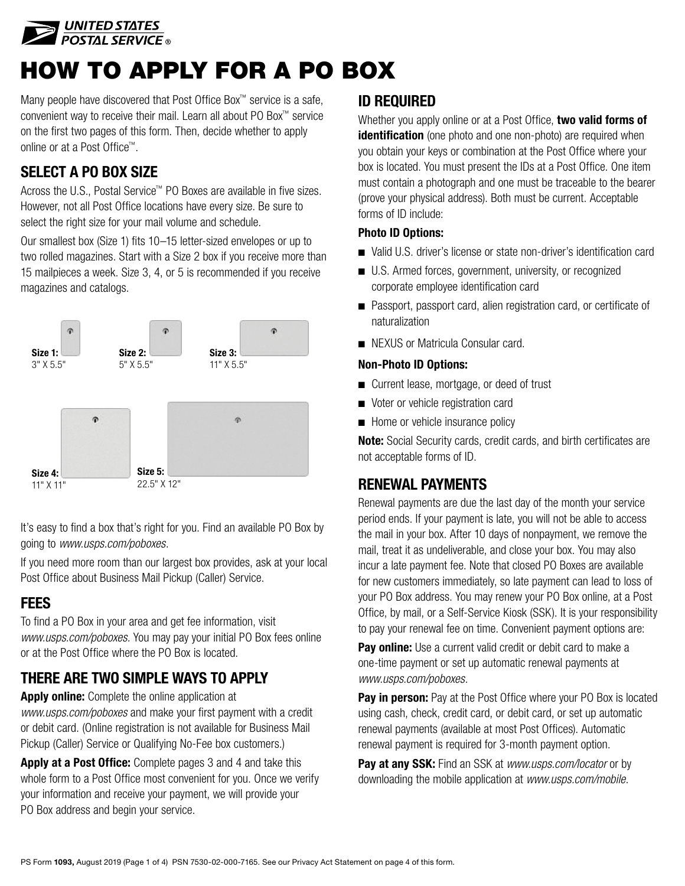

# HOW TO APPLY FOR A PO BOX

Many people have discovered that Post Office Box™ service is a safe, convenient way to receive their mail. Learn all about PO Box™ service on the first two pages of this form. Then, decide whether to apply online or at a Post Office™.

## SELECT A PO BOX SIZE

Across the U.S., Postal Service™ PO Boxes are available in five sizes. However, not all Post Office locations have every size. Be sure to select the right size for your mail volume and schedule.

Our smallest box (Size 1) fits 10–15 letter-sized envelopes or up to two rolled magazines. Start with a Size 2 box if you receive more than 15 mailpieces a week. Size 3, 4, or 5 is recommended if you receive magazines and catalogs.



It's easy to find a box that's right for you. Find an available PO Box by going to *[www.usps.com/poboxes](http://www.usps.com/poboxes)*.

If you need more room than our largest box provides, ask at your local Post Office about Business Mail Pickup (Caller) Service.

#### **FFFS**

To find a PO Box in your area and get fee information, visit *[www.usps.com/poboxes.](http://www.usps.com/poboxes)* You may pay your initial PO Box fees online or at the Post Office where the PO Box is located.

# THERE ARE TWO SIMPLE WAYS TO APPLY

Apply online: Complete the online application at *[www.usps.com/poboxes](http://www.usps.com/poboxes)* and make your first payment with a credit or debit card. (Online registration is not available for Business Mail Pickup (Caller) Service or Qualifying No-Fee box customers.)

Apply at a Post Office: Complete pages 3 and 4 and take this whole form to a Post Office most convenient for you. Once we verify your information and receive your payment, we will provide your PO Box address and begin your service.

### ID REQUIRED

Whether you apply online or at a Post Office, two valid forms of identification (one photo and one non-photo) are required when you obtain your keys or combination at the Post Office where your box is located. You must present the IDs at a Post Office. One item must contain a photograph and one must be traceable to the bearer (prove your physical address). Both must be current. Acceptable forms of ID include:

#### Photo ID Options:

- Valid U.S. driver's license or state non-driver's identification card
- U.S. Armed forces, government, university, or recognized corporate employee identification card
- Passport, passport card, alien registration card, or certificate of naturalization
- NEXUS or Matricula Consular card.

#### Non-Photo ID Options:

- Current lease, mortgage, or deed of trust
- Voter or vehicle registration card
- Home or vehicle insurance policy

Note: Social Security cards, credit cards, and birth certificates are not acceptable forms of ID.

## RENEWAL PAYMENTS

Renewal payments are due the last day of the month your service period ends. If your payment is late, you will not be able to access the mail in your box. After 10 days of nonpayment, we remove the mail, treat it as undeliverable, and close your box. You may also incur a late payment fee. Note that closed PO Boxes are available for new customers immediately, so late payment can lead to loss of your PO Box address. You may renew your PO Box online, at a Post Office, by mail, or a Self-Service Kiosk (SSK). It is your responsibility to pay your renewal fee on time. Convenient payment options are:

**Pay online:** Use a current valid credit or debit card to make a one-time payment or set up automatic renewal payments at *[www.usps.com/poboxes](http://www.usps.com/poboxes)*.

Pay in person: Pay at the Post Office where your PO Box is located using cash, check, credit card, or debit card, or set up automatic renewal payments (available at most Post Offices). Automatic renewal payment is required for 3-month payment option.

Pay at any SSK: Find an SSK at *[www.usps.com/locator](http://www.usps.com/locator)* or by downloading the mobile application at *[www.usps.com/mobile](http://www.usps.com/mobile)*.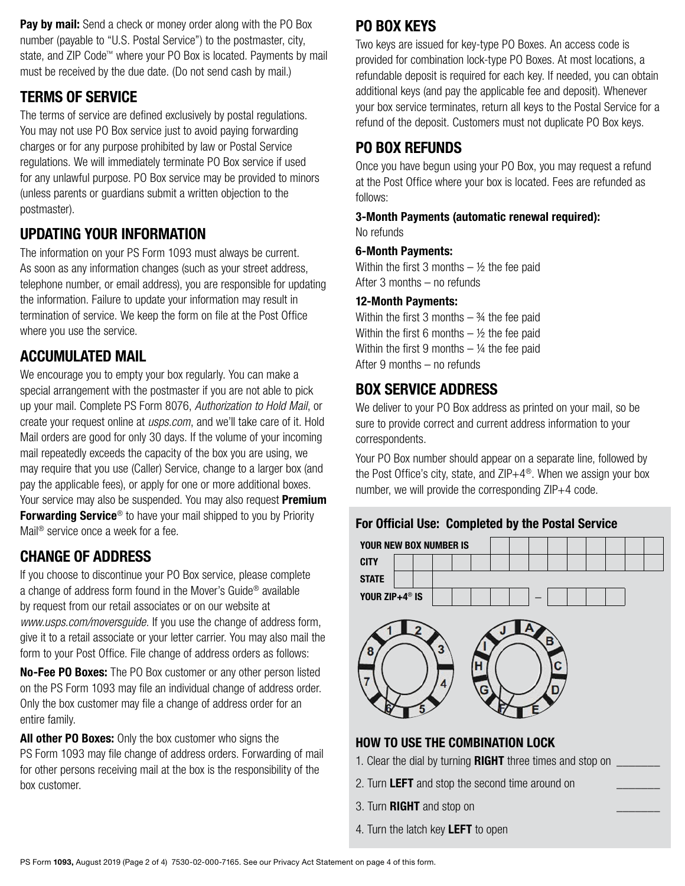Pay by mail: Send a check or money order along with the PO Box number (payable to "U.S. Postal Service") to the postmaster, city, state, and ZIP Code™ where your PO Box is located. Payments by mail must be received by the due date. (Do not send cash by mail.)

#### TERMS OF SERVICE

The terms of service are defined exclusively by postal regulations. You may not use PO Box service just to avoid paying forwarding charges or for any purpose prohibited by law or Postal Service regulations. We will immediately terminate PO Box service if used for any unlawful purpose. PO Box service may be provided to minors (unless parents or guardians submit a written objection to the postmaster).

# UPDATING YOUR INFORMATION

The information on your PS Form 1093 must always be current. As soon as any information changes (such as your street address, telephone number, or email address), you are responsible for updating the information. Failure to update your information may result in termination of service. We keep the form on file at the Post Office where you use the service.

### ACCUMULATED MAIL

We encourage you to empty your box regularly. You can make a special arrangement with the postmaster if you are not able to pick up your mail. Complete PS Form 8076, *Authorization to Hold Mail*, or create your request online at *[usps.com](http://usps.com)*, and we'll take care of it. Hold Mail orders are good for only 30 days. If the volume of your incoming mail repeatedly exceeds the capacity of the box you are using, we may require that you use (Caller) Service, change to a larger box (and pay the applicable fees), or apply for one or more additional boxes. Your service may also be suspended. You may also request **Premium** Forwarding Service<sup>®</sup> to have your mail shipped to you by Priority Mail® service once a week for a fee.

#### CHANGE OF ADDRESS

If you choose to discontinue your PO Box service, please complete a change of address form found in the Mover's Guide® available by request from our retail associates or on our website at *[www.usps.com/moversguide](http://www.usps.com/moversguide)*. If you use the change of address form, give it to a retail associate or your letter carrier. You may also mail the form to your Post Office. File change of address orders as follows:

No-Fee PO Boxes: The PO Box customer or any other person listed on the PS Form 1093 may file an individual change of address order. Only the box customer may file a change of address order for an entire family.

All other PO Boxes: Only the box customer who signs the PS Form 1093 may file change of address orders. Forwarding of mail for other persons receiving mail at the box is the responsibility of the box customer.

# PO BOX KEYS

Two keys are issued for key-type PO Boxes. An access code is provided for combination lock-type PO Boxes. At most locations, a refundable deposit is required for each key. If needed, you can obtain additional keys (and pay the applicable fee and deposit). Whenever your box service terminates, return all keys to the Postal Service for a refund of the deposit. Customers must not duplicate PO Box keys.

## PO BOX REFUNDS

Once you have begun using your PO Box, you may request a refund at the Post Office where your box is located. Fees are refunded as follows:

3-Month Payments (automatic renewal required): No refunds

#### 6-Month Payments:

Within the first 3 months  $-$  1/2 the fee paid After 3 months – no refunds

#### 12-Month Payments:

Within the first 3 months  $-$  34 the fee paid Within the first 6 months  $-$  1/2 the fee paid Within the first 9 months  $-$  ¼ the fee paid After 9 months – no refunds

### BOX SERVICE ADDRESS

We deliver to your PO Box address as printed on your mail, so be sure to provide correct and current address information to your correspondents.

Your PO Box number should appear on a separate line, followed by the Post Office's city, state, and ZIP+4<sup>®</sup>. When we assign your box number, we will provide the corresponding ZIP+4 code.







#### HOW TO USE THE COMBINATION LOCK

- 1. Clear the dial by turning  $RIGHT$  three times and stop on  $\sqrt{2}$
- 2. Turn LEFT and stop the second time around on
- 3. Turn **RIGHT** and stop on
- 4. Turn the latch key LEFT to open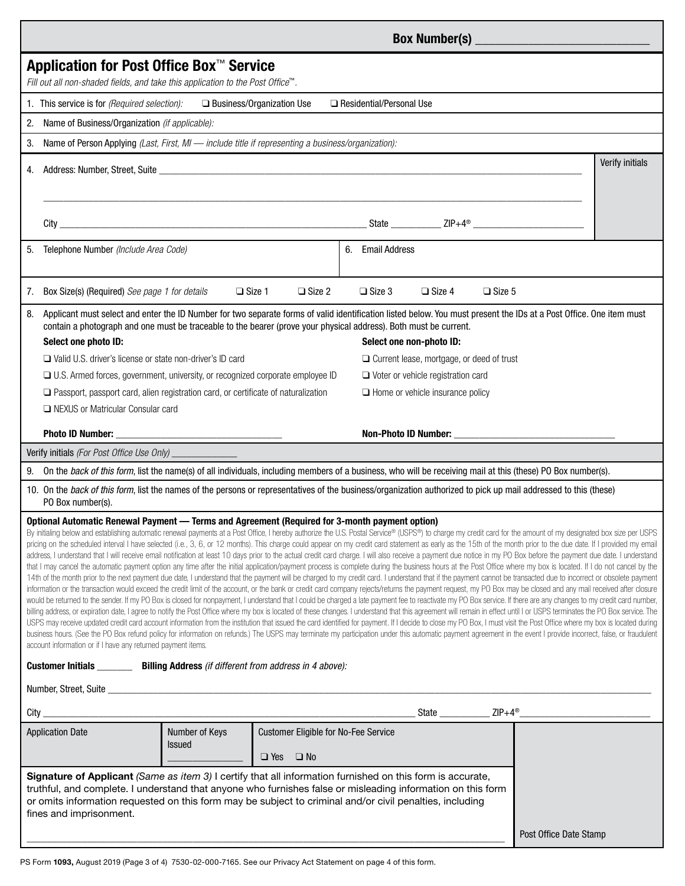| Application for Post Office Box™ Service<br>Fill out all non-shaded fields, and take this application to the Post Office™.                                                                                                                                                                                                                                                                                                                                                                                                                                                                                                                                                                                                                                                                                                                                                                                                                                                                                                                                                                                                                                                                                                                                                                                                                                                                                                                                                                                                                                                                                                                                                                                                                                                                                                                                                                                                                                                                                                                                                                                                                                                                                                                                                                                                                                                                         |                |                                                  |                  |                                         |                        |                 |  |
|----------------------------------------------------------------------------------------------------------------------------------------------------------------------------------------------------------------------------------------------------------------------------------------------------------------------------------------------------------------------------------------------------------------------------------------------------------------------------------------------------------------------------------------------------------------------------------------------------------------------------------------------------------------------------------------------------------------------------------------------------------------------------------------------------------------------------------------------------------------------------------------------------------------------------------------------------------------------------------------------------------------------------------------------------------------------------------------------------------------------------------------------------------------------------------------------------------------------------------------------------------------------------------------------------------------------------------------------------------------------------------------------------------------------------------------------------------------------------------------------------------------------------------------------------------------------------------------------------------------------------------------------------------------------------------------------------------------------------------------------------------------------------------------------------------------------------------------------------------------------------------------------------------------------------------------------------------------------------------------------------------------------------------------------------------------------------------------------------------------------------------------------------------------------------------------------------------------------------------------------------------------------------------------------------------------------------------------------------------------------------------------------------|----------------|--------------------------------------------------|------------------|-----------------------------------------|------------------------|-----------------|--|
| 1. This service is for (Required selection):<br>□ Business/Organization Use<br>Residential/Personal Use                                                                                                                                                                                                                                                                                                                                                                                                                                                                                                                                                                                                                                                                                                                                                                                                                                                                                                                                                                                                                                                                                                                                                                                                                                                                                                                                                                                                                                                                                                                                                                                                                                                                                                                                                                                                                                                                                                                                                                                                                                                                                                                                                                                                                                                                                            |                |                                                  |                  |                                         |                        |                 |  |
| Name of Business/Organization (if applicable):<br>2.                                                                                                                                                                                                                                                                                                                                                                                                                                                                                                                                                                                                                                                                                                                                                                                                                                                                                                                                                                                                                                                                                                                                                                                                                                                                                                                                                                                                                                                                                                                                                                                                                                                                                                                                                                                                                                                                                                                                                                                                                                                                                                                                                                                                                                                                                                                                               |                |                                                  |                  |                                         |                        |                 |  |
| 3.<br>Name of Person Applying (Last, First, MI - include title if representing a business/organization):                                                                                                                                                                                                                                                                                                                                                                                                                                                                                                                                                                                                                                                                                                                                                                                                                                                                                                                                                                                                                                                                                                                                                                                                                                                                                                                                                                                                                                                                                                                                                                                                                                                                                                                                                                                                                                                                                                                                                                                                                                                                                                                                                                                                                                                                                           |                |                                                  |                  |                                         |                        |                 |  |
|                                                                                                                                                                                                                                                                                                                                                                                                                                                                                                                                                                                                                                                                                                                                                                                                                                                                                                                                                                                                                                                                                                                                                                                                                                                                                                                                                                                                                                                                                                                                                                                                                                                                                                                                                                                                                                                                                                                                                                                                                                                                                                                                                                                                                                                                                                                                                                                                    |                |                                                  |                  |                                         |                        | Verify initials |  |
| 4.                                                                                                                                                                                                                                                                                                                                                                                                                                                                                                                                                                                                                                                                                                                                                                                                                                                                                                                                                                                                                                                                                                                                                                                                                                                                                                                                                                                                                                                                                                                                                                                                                                                                                                                                                                                                                                                                                                                                                                                                                                                                                                                                                                                                                                                                                                                                                                                                 |                |                                                  |                  |                                         |                        |                 |  |
|                                                                                                                                                                                                                                                                                                                                                                                                                                                                                                                                                                                                                                                                                                                                                                                                                                                                                                                                                                                                                                                                                                                                                                                                                                                                                                                                                                                                                                                                                                                                                                                                                                                                                                                                                                                                                                                                                                                                                                                                                                                                                                                                                                                                                                                                                                                                                                                                    |                |                                                  |                  |                                         |                        |                 |  |
|                                                                                                                                                                                                                                                                                                                                                                                                                                                                                                                                                                                                                                                                                                                                                                                                                                                                                                                                                                                                                                                                                                                                                                                                                                                                                                                                                                                                                                                                                                                                                                                                                                                                                                                                                                                                                                                                                                                                                                                                                                                                                                                                                                                                                                                                                                                                                                                                    |                |                                                  |                  |                                         |                        |                 |  |
| Telephone Number (Include Area Code)<br>5.                                                                                                                                                                                                                                                                                                                                                                                                                                                                                                                                                                                                                                                                                                                                                                                                                                                                                                                                                                                                                                                                                                                                                                                                                                                                                                                                                                                                                                                                                                                                                                                                                                                                                                                                                                                                                                                                                                                                                                                                                                                                                                                                                                                                                                                                                                                                                         |                |                                                  | 6. Email Address |                                         |                        |                 |  |
| Box Size(s) (Required) See page 1 for details<br>7.                                                                                                                                                                                                                                                                                                                                                                                                                                                                                                                                                                                                                                                                                                                                                                                                                                                                                                                                                                                                                                                                                                                                                                                                                                                                                                                                                                                                                                                                                                                                                                                                                                                                                                                                                                                                                                                                                                                                                                                                                                                                                                                                                                                                                                                                                                                                                | $\Box$ Size 1  | $\Box$ Size 2                                    | $\Box$ Size 3    | $\Box$ Size 4                           | $\Box$ Size 5          |                 |  |
| Applicant must select and enter the ID Number for two separate forms of valid identification listed below. You must present the IDs at a Post Office. One item must<br>8.                                                                                                                                                                                                                                                                                                                                                                                                                                                                                                                                                                                                                                                                                                                                                                                                                                                                                                                                                                                                                                                                                                                                                                                                                                                                                                                                                                                                                                                                                                                                                                                                                                                                                                                                                                                                                                                                                                                                                                                                                                                                                                                                                                                                                          |                |                                                  |                  |                                         |                        |                 |  |
| contain a photograph and one must be traceable to the bearer (prove your physical address). Both must be current.<br>Select one photo ID:<br>Select one non-photo ID:                                                                                                                                                                                                                                                                                                                                                                                                                                                                                                                                                                                                                                                                                                                                                                                                                                                                                                                                                                                                                                                                                                                                                                                                                                                                                                                                                                                                                                                                                                                                                                                                                                                                                                                                                                                                                                                                                                                                                                                                                                                                                                                                                                                                                              |                |                                                  |                  |                                         |                        |                 |  |
| $\Box$ Valid U.S. driver's license or state non-driver's ID card                                                                                                                                                                                                                                                                                                                                                                                                                                                                                                                                                                                                                                                                                                                                                                                                                                                                                                                                                                                                                                                                                                                                                                                                                                                                                                                                                                                                                                                                                                                                                                                                                                                                                                                                                                                                                                                                                                                                                                                                                                                                                                                                                                                                                                                                                                                                   |                | $\Box$ Current lease, mortgage, or deed of trust |                  |                                         |                        |                 |  |
| □ U.S. Armed forces, government, university, or recognized corporate employee ID                                                                                                                                                                                                                                                                                                                                                                                                                                                                                                                                                                                                                                                                                                                                                                                                                                                                                                                                                                                                                                                                                                                                                                                                                                                                                                                                                                                                                                                                                                                                                                                                                                                                                                                                                                                                                                                                                                                                                                                                                                                                                                                                                                                                                                                                                                                   |                | $\Box$ Voter or vehicle registration card        |                  |                                         |                        |                 |  |
| $\Box$ Passport, passport card, alien registration card, or certificate of naturalization                                                                                                                                                                                                                                                                                                                                                                                                                                                                                                                                                                                                                                                                                                                                                                                                                                                                                                                                                                                                                                                                                                                                                                                                                                                                                                                                                                                                                                                                                                                                                                                                                                                                                                                                                                                                                                                                                                                                                                                                                                                                                                                                                                                                                                                                                                          |                |                                                  |                  | $\Box$ Home or vehicle insurance policy |                        |                 |  |
| □ NEXUS or Matricular Consular card                                                                                                                                                                                                                                                                                                                                                                                                                                                                                                                                                                                                                                                                                                                                                                                                                                                                                                                                                                                                                                                                                                                                                                                                                                                                                                                                                                                                                                                                                                                                                                                                                                                                                                                                                                                                                                                                                                                                                                                                                                                                                                                                                                                                                                                                                                                                                                |                |                                                  |                  |                                         |                        |                 |  |
|                                                                                                                                                                                                                                                                                                                                                                                                                                                                                                                                                                                                                                                                                                                                                                                                                                                                                                                                                                                                                                                                                                                                                                                                                                                                                                                                                                                                                                                                                                                                                                                                                                                                                                                                                                                                                                                                                                                                                                                                                                                                                                                                                                                                                                                                                                                                                                                                    |                |                                                  |                  |                                         |                        |                 |  |
| Verify initials (For Post Office Use Only)                                                                                                                                                                                                                                                                                                                                                                                                                                                                                                                                                                                                                                                                                                                                                                                                                                                                                                                                                                                                                                                                                                                                                                                                                                                                                                                                                                                                                                                                                                                                                                                                                                                                                                                                                                                                                                                                                                                                                                                                                                                                                                                                                                                                                                                                                                                                                         |                |                                                  |                  |                                         |                        |                 |  |
| On the back of this form, list the name(s) of all individuals, including members of a business, who will be receiving mail at this (these) PO Box number(s).<br>9.                                                                                                                                                                                                                                                                                                                                                                                                                                                                                                                                                                                                                                                                                                                                                                                                                                                                                                                                                                                                                                                                                                                                                                                                                                                                                                                                                                                                                                                                                                                                                                                                                                                                                                                                                                                                                                                                                                                                                                                                                                                                                                                                                                                                                                 |                |                                                  |                  |                                         |                        |                 |  |
| 10. On the back of this form, list the names of the persons or representatives of the business/organization authorized to pick up mail addressed to this (these)<br>PO Box number(s).                                                                                                                                                                                                                                                                                                                                                                                                                                                                                                                                                                                                                                                                                                                                                                                                                                                                                                                                                                                                                                                                                                                                                                                                                                                                                                                                                                                                                                                                                                                                                                                                                                                                                                                                                                                                                                                                                                                                                                                                                                                                                                                                                                                                              |                |                                                  |                  |                                         |                        |                 |  |
| Optional Automatic Renewal Payment - Terms and Agreement (Required for 3-month payment option)<br>By initialing below and establishing automatic renewal payments at a Post Office, I hereby authorize the U.S. Postal Service® (USPS®) to charge my credit card for the amount of my designated box size per USPS<br>pricing on the scheduled interval I have selected (i.e., 3, 6, or 12 months). This charge could appear on my credit card statement as early as the 15th of the month prior to the due date. If I provided my email<br>address, I understand that I will receive email notification at least 10 days prior to the actual credit card charge. I will also receive a payment due notice in my PO Box before the payment due date. I understand<br>that I may cancel the automatic payment option any time after the initial application/payment process is complete during the business hours at the Post Office where my box is located. If I do not cancel by the<br>14th of the month prior to the next payment due date, I understand that the payment will be charged to my credit card. I understand that if the payment cannot be transacted due to incorrect or obsolete payment<br>information or the transaction would exceed the credit limit of the account, or the bank or credit card company rejects/returns the payment request, my PO Box may be closed and any mail received after closure<br>would be returned to the sender. If my PO Box is closed for nonpayment, I understand that I could be charged a late payment fee to reactivate my PO Box service. If there are any changes to my credit card number,<br>billing address, or expiration date, I agree to notify the Post Office where my box is located of these changes. I understand that this agreement will remain in effect until I or USPS terminates the PO Box service. The<br>USPS may receive updated credit card account information from the institution that issued the card identified for payment. If I decide to close my PO Box, I must visit the Post Office where my box is located during<br>business hours. (See the PO Box refund policy for information on refunds.) The USPS may terminate my participation under this automatic payment agreement in the event I provide incorrect, false, or fraudulent<br>account information or if I have any returned payment items. |                |                                                  |                  |                                         |                        |                 |  |
| <b>Customer Initials</b> __________ Billing Address (if different from address in 4 above):                                                                                                                                                                                                                                                                                                                                                                                                                                                                                                                                                                                                                                                                                                                                                                                                                                                                                                                                                                                                                                                                                                                                                                                                                                                                                                                                                                                                                                                                                                                                                                                                                                                                                                                                                                                                                                                                                                                                                                                                                                                                                                                                                                                                                                                                                                        |                |                                                  |                  |                                         |                        |                 |  |
|                                                                                                                                                                                                                                                                                                                                                                                                                                                                                                                                                                                                                                                                                                                                                                                                                                                                                                                                                                                                                                                                                                                                                                                                                                                                                                                                                                                                                                                                                                                                                                                                                                                                                                                                                                                                                                                                                                                                                                                                                                                                                                                                                                                                                                                                                                                                                                                                    |                |                                                  |                  |                                         |                        |                 |  |
|                                                                                                                                                                                                                                                                                                                                                                                                                                                                                                                                                                                                                                                                                                                                                                                                                                                                                                                                                                                                                                                                                                                                                                                                                                                                                                                                                                                                                                                                                                                                                                                                                                                                                                                                                                                                                                                                                                                                                                                                                                                                                                                                                                                                                                                                                                                                                                                                    |                |                                                  |                  |                                         |                        |                 |  |
| <b>Application Date</b>                                                                                                                                                                                                                                                                                                                                                                                                                                                                                                                                                                                                                                                                                                                                                                                                                                                                                                                                                                                                                                                                                                                                                                                                                                                                                                                                                                                                                                                                                                                                                                                                                                                                                                                                                                                                                                                                                                                                                                                                                                                                                                                                                                                                                                                                                                                                                                            | Number of Keys | Customer Eligible for No-Fee Service             |                  |                                         |                        |                 |  |
|                                                                                                                                                                                                                                                                                                                                                                                                                                                                                                                                                                                                                                                                                                                                                                                                                                                                                                                                                                                                                                                                                                                                                                                                                                                                                                                                                                                                                                                                                                                                                                                                                                                                                                                                                                                                                                                                                                                                                                                                                                                                                                                                                                                                                                                                                                                                                                                                    | Issued         | $\Box$ No<br>$\Box$ Yes                          |                  |                                         |                        |                 |  |
| Signature of Applicant (Same as item 3) I certify that all information furnished on this form is accurate,<br>truthful, and complete. I understand that anyone who furnishes false or misleading information on this form<br>or omits information requested on this form may be subject to criminal and/or civil penalties, including<br>fines and imprisonment.                                                                                                                                                                                                                                                                                                                                                                                                                                                                                                                                                                                                                                                                                                                                                                                                                                                                                                                                                                                                                                                                                                                                                                                                                                                                                                                                                                                                                                                                                                                                                                                                                                                                                                                                                                                                                                                                                                                                                                                                                                   |                |                                                  |                  |                                         | Post Office Date Stamp |                 |  |